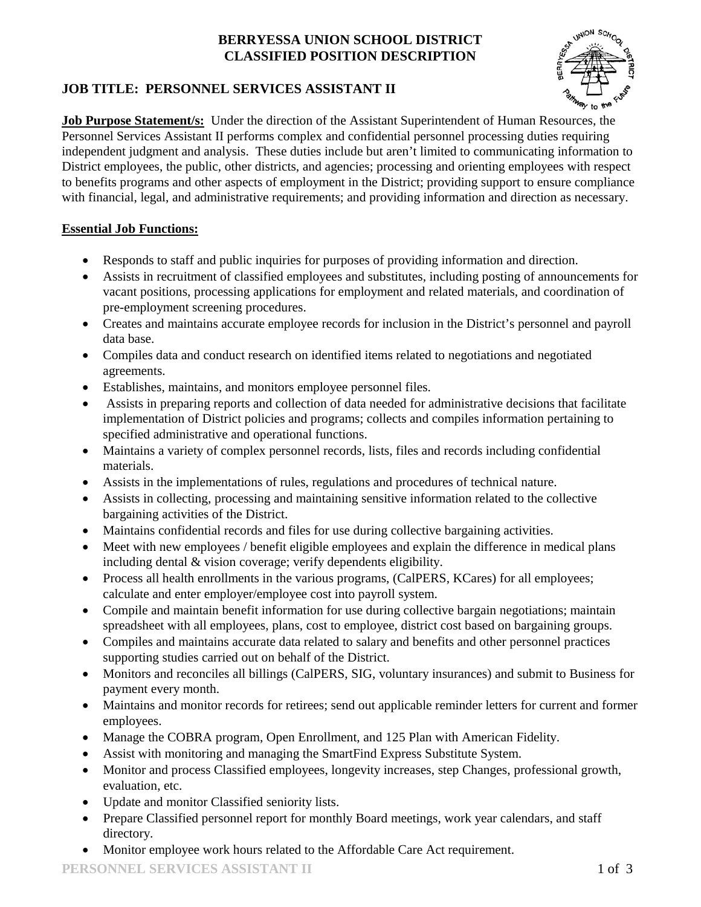### **BERRYESSA UNION SCHOOL DISTRICT CLASSIFIED POSITION DESCRIPTION**



# **JOB TITLE: PERSONNEL SERVICES ASSISTANT II**

**Job Purpose Statement/s:** Under the direction of the Assistant Superintendent of Human Resources, the Personnel Services Assistant II performs complex and confidential personnel processing duties requiring independent judgment and analysis. These duties include but aren't limited to communicating information to District employees, the public, other districts, and agencies; processing and orienting employees with respect to benefits programs and other aspects of employment in the District; providing support to ensure compliance with financial, legal, and administrative requirements; and providing information and direction as necessary.

## **Essential Job Functions:**

- Responds to staff and public inquiries for purposes of providing information and direction.
- Assists in recruitment of classified employees and substitutes, including posting of announcements for vacant positions, processing applications for employment and related materials, and coordination of pre-employment screening procedures.
- Creates and maintains accurate employee records for inclusion in the District's personnel and payroll data base.
- Compiles data and conduct research on identified items related to negotiations and negotiated agreements.
- Establishes, maintains, and monitors employee personnel files.
- Assists in preparing reports and collection of data needed for administrative decisions that facilitate implementation of District policies and programs; collects and compiles information pertaining to specified administrative and operational functions.
- Maintains a variety of complex personnel records, lists, files and records including confidential materials.
- Assists in the implementations of rules, regulations and procedures of technical nature.
- Assists in collecting, processing and maintaining sensitive information related to the collective bargaining activities of the District.
- Maintains confidential records and files for use during collective bargaining activities.
- Meet with new employees / benefit eligible employees and explain the difference in medical plans including dental & vision coverage; verify dependents eligibility.
- Process all health enrollments in the various programs, (CalPERS, KCares) for all employees; calculate and enter employer/employee cost into payroll system.
- Compile and maintain benefit information for use during collective bargain negotiations; maintain spreadsheet with all employees, plans, cost to employee, district cost based on bargaining groups.
- Compiles and maintains accurate data related to salary and benefits and other personnel practices supporting studies carried out on behalf of the District.
- Monitors and reconciles all billings (CalPERS, SIG, voluntary insurances) and submit to Business for payment every month.
- Maintains and monitor records for retirees; send out applicable reminder letters for current and former employees.
- Manage the COBRA program, Open Enrollment, and 125 Plan with American Fidelity.
- Assist with monitoring and managing the SmartFind Express Substitute System.
- Monitor and process Classified employees, longevity increases, step Changes, professional growth, evaluation, etc.
- Update and monitor Classified seniority lists.
- Prepare Classified personnel report for monthly Board meetings, work year calendars, and staff directory.
- Monitor employee work hours related to the Affordable Care Act requirement.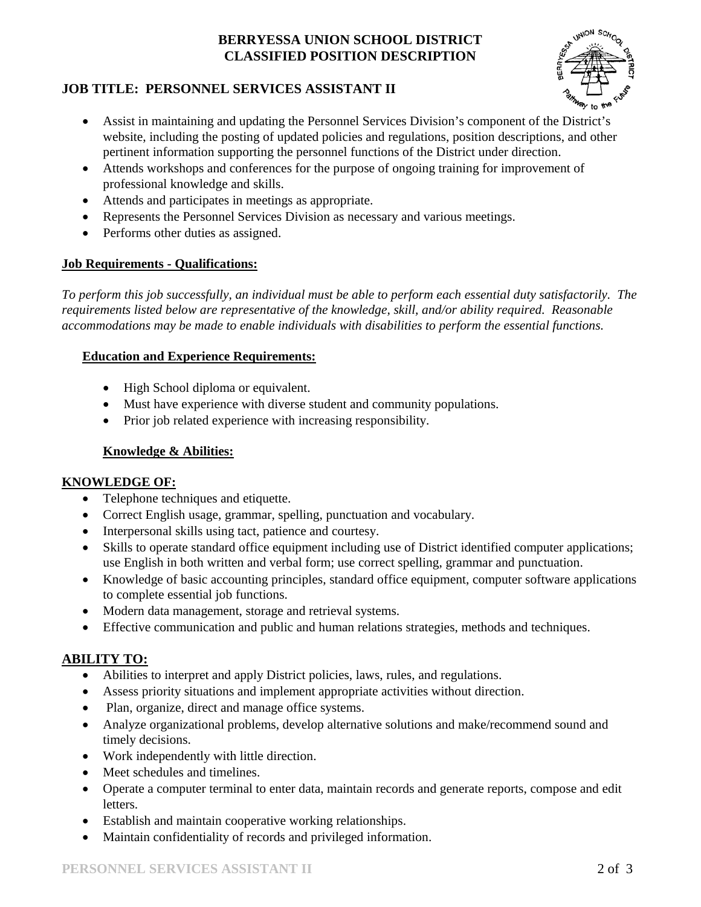### **BERRYESSA UNION SCHOOL DISTRICT CLASSIFIED POSITION DESCRIPTION**



## **JOB TITLE: PERSONNEL SERVICES ASSISTANT II**

- Assist in maintaining and updating the Personnel Services Division's component of the District's website, including the posting of updated policies and regulations, position descriptions, and other pertinent information supporting the personnel functions of the District under direction.
- Attends workshops and conferences for the purpose of ongoing training for improvement of professional knowledge and skills.
- Attends and participates in meetings as appropriate.
- Represents the Personnel Services Division as necessary and various meetings.
- Performs other duties as assigned.

### **Job Requirements - Qualifications:**

*To perform this job successfully, an individual must be able to perform each essential duty satisfactorily. The requirements listed below are representative of the knowledge, skill, and/or ability required. Reasonable accommodations may be made to enable individuals with disabilities to perform the essential functions.*

#### **Education and Experience Requirements:**

- High School diploma or equivalent.
- Must have experience with diverse student and community populations.
- Prior job related experience with increasing responsibility.

### **Knowledge & Abilities:**

#### **KNOWLEDGE OF:**

- Telephone techniques and etiquette.
- Correct English usage, grammar, spelling, punctuation and vocabulary.
- Interpersonal skills using tact, patience and courtesy.
- Skills to operate standard office equipment including use of District identified computer applications; use English in both written and verbal form; use correct spelling, grammar and punctuation.
- Knowledge of basic accounting principles, standard office equipment, computer software applications to complete essential job functions.
- Modern data management, storage and retrieval systems.
- Effective communication and public and human relations strategies, methods and techniques.

## **ABILITY TO:**

- Abilities to interpret and apply District policies, laws, rules, and regulations.
- Assess priority situations and implement appropriate activities without direction.
- Plan, organize, direct and manage office systems.
- Analyze organizational problems, develop alternative solutions and make/recommend sound and timely decisions.
- Work independently with little direction.
- Meet schedules and timelines.
- Operate a computer terminal to enter data, maintain records and generate reports, compose and edit letters.
- Establish and maintain cooperative working relationships.
- Maintain confidentiality of records and privileged information.